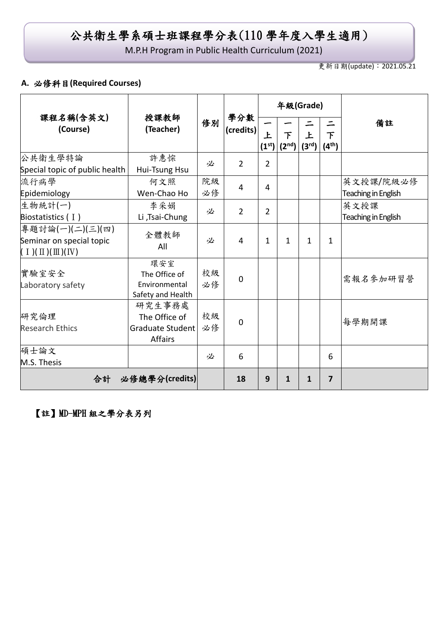# 公共衛生學系碩士班課程學分表(110 學年度入學生適用)

M.P.H Program in Public Health Curriculum (2021)

更新日期(update):2021.05.21

### **A.** 必修科目**(Required Courses)**

|                                |                             |    |                               |                | 年級(Grade)               |                    |            |                     |
|--------------------------------|-----------------------------|----|-------------------------------|----------------|-------------------------|--------------------|------------|---------------------|
| 課程名稱(含英文)<br>(Course)          | 授課教師<br>(Teacher)           | 修別 | 學分數<br>(c <sub>redits</sub> ) | 上              | 下                       | 上                  | 下          | 備註                  |
|                                |                             |    |                               |                | $(1^{st})   (2^{nd})  $ | (3 <sup>rd</sup> ) | $(4^{th})$ |                     |
| 公共衛生學特論                        | 許惠悰                         | 必  | $\overline{2}$                | $\overline{2}$ |                         |                    |            |                     |
| Special topic of public health | Hui-Tsung Hsu               |    |                               |                |                         |                    |            |                     |
| 流行病學                           | 何文照                         | 院級 | $\overline{4}$                | 4              |                         |                    |            | 英文授課/院級必修           |
| Epidemiology                   | Wen-Chao Ho                 | 必修 |                               |                |                         |                    |            | Teaching in English |
| 生物統計(一)                        | 李采娟                         | 必  | $\overline{2}$                | $\overline{2}$ |                         |                    |            | 英文授課                |
| Biostatistics $(1)$            | Li ,Tsai-Chung              |    |                               |                |                         |                    |            | Teaching in English |
| 專題討論(一)(二)(三)(四)               | 全體教師                        |    |                               |                |                         |                    |            |                     |
| Seminar on special topic       | All                         | 必  | 4                             | 1              | 1                       | $\mathbf{1}$       | 1          |                     |
| $(1)(\Pi)(\Pi)(IV)$            |                             |    |                               |                |                         |                    |            |                     |
|                                | 環安室                         |    |                               |                |                         |                    |            |                     |
| 實驗室安全                          | The Office of               | 校級 | $\mathbf 0$                   |                |                         |                    |            | 需報名參加研習營            |
| Laboratory safety              | Environmental               | 必修 |                               |                |                         |                    |            |                     |
|                                | Safety and Health<br>研究生事務處 |    |                               |                |                         |                    |            |                     |
| 研究倫理                           | The Office of               | 校級 |                               |                |                         |                    |            |                     |
| <b>Research Ethics</b>         | Graduate Student            | 必修 | $\overline{0}$                |                |                         |                    |            | 每學期開課               |
|                                | <b>Affairs</b>              |    |                               |                |                         |                    |            |                     |
| 碩士論文                           |                             |    |                               |                |                         |                    |            |                     |
| M.S. Thesis                    |                             | 必  | 6                             |                |                         |                    | 6          |                     |
|                                | 合計 必修總學分(credits)           |    | 18                            | 9              | $\mathbf{1}$            | 1                  | 7          |                     |

# 【註】MD-MPH 組之學分表另列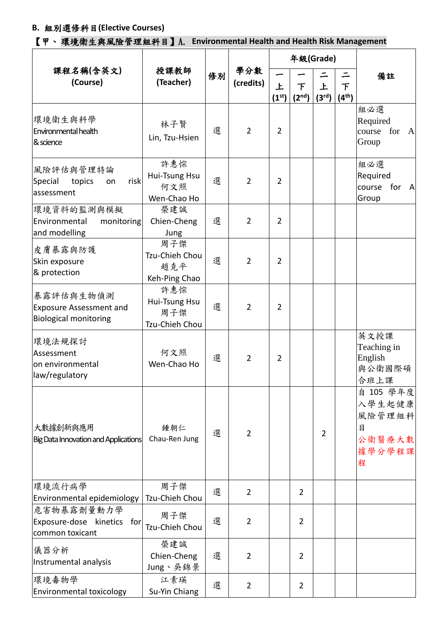## **B.** 組別選修科目**(Elective Courses)**

【甲、 環境衛生與風險管理組科目】A. **Environmental Health and Health Risk Management**

|                                                                             | 授課教師<br>(Teacher)                             | 修別 | 學分數<br>(credits) |                         | 年級(Grade)               |                         |                         |                                                             |
|-----------------------------------------------------------------------------|-----------------------------------------------|----|------------------|-------------------------|-------------------------|-------------------------|-------------------------|-------------------------------------------------------------|
| 課程名稱(含英文)<br>(Course)                                                       |                                               |    |                  | 上<br>(1 <sup>st</sup> ) | 下<br>(2 <sup>nd</sup> ) | 上<br>(3 <sup>rd</sup> ) | 下<br>(4 <sup>th</sup> ) | 備註                                                          |
| 環境衛生與科學<br>Environmental health<br>& science                                | 林子賢<br>Lin, Tzu-Hsien                         | 選  | $\overline{2}$   | $\overline{2}$          |                         |                         |                         | 組必選<br>Required<br>course<br>for<br>$\mathbf{A}$<br>Group   |
| 風險評估與管理特論<br>risk<br>Special<br>topics<br>on<br>assessment                  | 許惠悰<br>Hui-Tsung Hsu<br>何文照<br>Wen-Chao Ho    | 選  | $\overline{2}$   | 2                       |                         |                         |                         | 組必選<br>Required<br>course<br>for<br>A<br>Group              |
| 環境資料的監測與模擬<br>Environmental<br>monitoring<br>and modelling                  | 榮建誠<br>Chien-Cheng<br>Jung                    | 選  | $\overline{2}$   | $\overline{2}$          |                         |                         |                         |                                                             |
| 皮膚暴露與防護<br>Skin exposure<br>& protection                                    | 周子傑<br>Tzu-Chieh Chou<br>趙克平<br>Keh-Ping Chao | 選  | $\overline{2}$   | $\overline{2}$          |                         |                         |                         |                                                             |
| 暴露評估與生物偵測<br><b>Exposure Assessment and</b><br><b>Biological monitoring</b> | 許惠悰<br>Hui-Tsung Hsu<br>周子傑<br>Tzu-Chieh Chou | 選  | $\overline{2}$   | 2                       |                         |                         |                         |                                                             |
| 環境法規探討<br>Assessment<br>on environmental<br>law/regulatory                  | 何文照<br>Wen-Chao Ho                            | 選  | $\overline{2}$   | $\overline{2}$          |                         |                         |                         | 英文授課<br>Teaching in<br>English<br>與公衛國際碩<br>合班上課            |
| 大數據創新與應用<br>Big Data Innovation and Applications                            | 鍾朝仁<br>Chau-Ren Jung                          | 選  | $\overline{2}$   |                         |                         | $\overline{2}$          |                         | 自 105 學年度<br>入學生起健康<br>風險管理組科<br>目<br>公衛醫療大數<br>據學分學程課<br>程 |
| 環境流行病學<br>Environmental epidemiology                                        | 周子傑<br>Tzu-Chieh Chou                         | 選  | $\overline{2}$   |                         | $\overline{2}$          |                         |                         |                                                             |
| 危害物暴露劑量動力學<br>Exposure-dose<br>kinetics<br>for<br>common toxicant           | 周子傑<br>Tzu-Chieh Chou                         | 選  | $\overline{2}$   |                         | $\overline{2}$          |                         |                         |                                                             |
| 儀器分析<br>Instrumental analysis                                               | 榮建誠<br>Chien-Cheng<br>Jung、吳錦景                | 選  | 2                |                         | 2                       |                         |                         |                                                             |
| 環境毒物學<br>Environmental toxicology                                           | 江素瑛<br>Su-Yin Chiang                          | 選  | $\overline{2}$   |                         | 2                       |                         |                         |                                                             |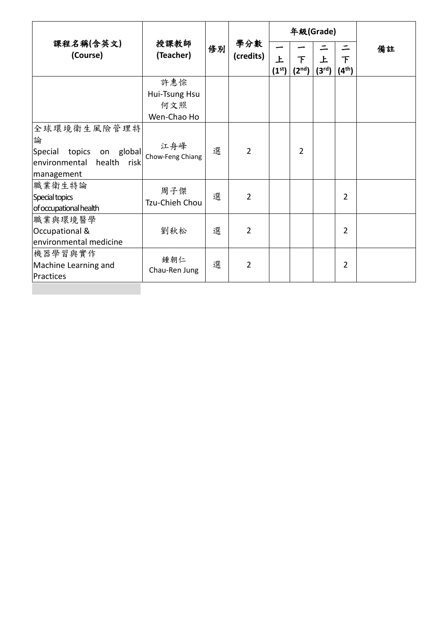|                                                                                                         |                         |    |                  | 年級(Grade)               |                         |                                    |                         |    |
|---------------------------------------------------------------------------------------------------------|-------------------------|----|------------------|-------------------------|-------------------------|------------------------------------|-------------------------|----|
| 課程名稱(含英文)<br>(Course)                                                                                   | 授課教師<br>(Teacher)       | 修別 | 學分數<br>(credits) | 上<br>(1 <sup>st</sup> ) | 下<br>(2 <sup>nd</sup> ) | $\mathbf{F}$<br>(3 <sup>rd</sup> ) | 下<br>(4 <sup>th</sup> ) | 備註 |
|                                                                                                         | 許惠悰                     |    |                  |                         |                         |                                    |                         |    |
|                                                                                                         | Hui-Tsung Hsu           |    |                  |                         |                         |                                    |                         |    |
|                                                                                                         | 何文照                     |    |                  |                         |                         |                                    |                         |    |
|                                                                                                         | Wen-Chao Ho             |    |                  |                         |                         |                                    |                         |    |
| 全球環境衛生風險管理特<br>論<br>global<br>Special<br>topics<br>on<br>environmental<br>health<br>riskl<br>management | 江舟峰<br>Chow-Feng Chiang | 選  | $\overline{2}$   |                         | $\overline{2}$          |                                    |                         |    |
| 職業衛生特論<br>Special topics<br>of occupational health                                                      | 周子傑<br>Tzu-Chieh Chou   | 選  | $\overline{2}$   |                         |                         |                                    | $\overline{2}$          |    |
| 職業與環境醫學<br>Occupational &<br>environmental medicine                                                     | 劉秋松                     | 選  | $\overline{2}$   |                         |                         |                                    | $\overline{2}$          |    |
| 機器學習與實作<br>Machine Learning and<br>Practices                                                            | 鍾朝仁<br>Chau-Ren Jung    | 選  | $\overline{2}$   |                         |                         |                                    | $\overline{2}$          |    |
|                                                                                                         |                         |    |                  |                         |                         |                                    |                         |    |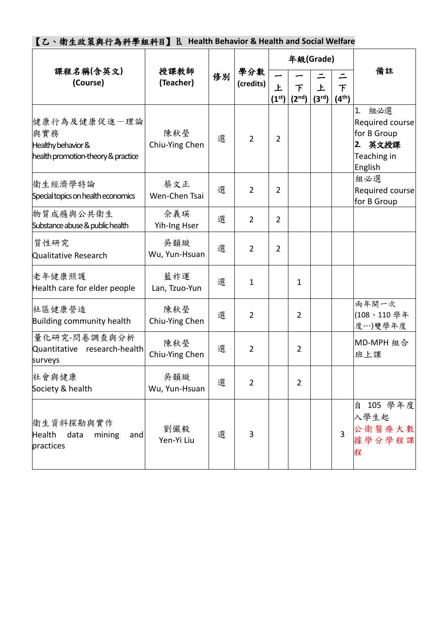| 【乙、衛生政策與行為科學組科目】B. Health Behavior & Health and Social Welfare                  |                       |    |                  |                         |                         |                         |                         |                                                                                     |
|---------------------------------------------------------------------------------|-----------------------|----|------------------|-------------------------|-------------------------|-------------------------|-------------------------|-------------------------------------------------------------------------------------|
|                                                                                 |                       |    |                  | 年級(Grade)               |                         |                         |                         |                                                                                     |
| 課程名稱(含英文)<br>(Course)                                                           | 授課教師<br>(Teacher)     | 修別 | 學分數<br>(credits) | 上<br>(1 <sup>st</sup> ) | 下<br>(2 <sup>nd</sup> ) | 上<br>(3 <sup>rd</sup> ) | 下<br>(4 <sup>th</sup> ) | 備註                                                                                  |
| 健康行為及健康促進一理論<br>與實務<br>Healthy behavior &<br>health promotion-theory & practice | 陳秋瑩<br>Chiu-Ying Chen | 選  | $\overline{2}$   | $\overline{2}$          |                         |                         |                         | 組必選<br>1.<br>Required course<br>for B Group<br>英文授課<br>2.<br>Teaching in<br>English |
| 衛生經濟學特論<br>Special topics on health economics                                   | 蔡文正<br>Wen-Chen Tsai  | 選  | $\overline{2}$   | $\overline{2}$          |                         |                         |                         | 組必選<br>Required course<br>for B Group                                               |
| 物質成癮與公共衛生<br>Substance abuse & public health                                    | 佘義瑛<br>Yih-Ing Hser   | 選  | $\overline{2}$   | $\overline{2}$          |                         |                         |                         |                                                                                     |
| 質性研究<br>Qualitative Research                                                    | 吳韻璇<br>Wu, Yun-Hsuan  | 選  | $\overline{2}$   | $\overline{2}$          |                         |                         |                         |                                                                                     |
| 老年健康照護<br>Health care for elder people                                          | 藍祚運<br>Lan, Tzuo-Yun  | 選  | $\mathbf{1}$     |                         | 1                       |                         |                         |                                                                                     |
| 社區健康營造<br>Building community health                                             | 陳秋瑩<br>Chiu-Ying Chen | 選  | $\overline{2}$   |                         | $\overline{2}$          |                         |                         | 兩年開一次<br>(108、110學年<br>度…)雙學年度                                                      |
| 量化研究-問卷調查與分析<br>Quantitative research-health<br>surveys                         | 陳秋瑩<br>Chiu-Ying Chen | 選  | $\overline{2}$   |                         | $\overline{2}$          |                         |                         | MD-MPH 組合<br>班上課                                                                    |
| 社會與健康<br>Society & health                                                       | 吳韻璇<br>Wu, Yun-Hsuan  | 選  | $\overline{2}$   |                         | $\overline{2}$          |                         |                         |                                                                                     |
| 衛生資料探勘與實作<br>Health<br>data<br>mining<br>and<br>practices                       | 劉儼毅<br>Yen-Yi Liu     | 選  | 3                |                         |                         |                         | $\overline{3}$          | 自 105 學年度<br>入學生起<br>公衛醫療大數<br>據學分學程課<br>程                                          |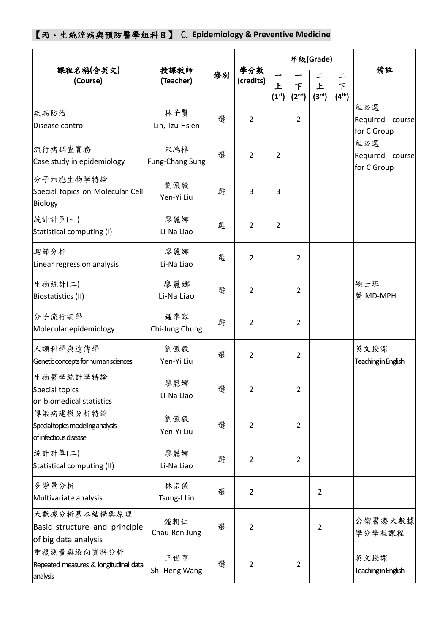【丙、生統流病與預防醫學組科目】 C. **Epidemiology & Preventive Medicine**

|                                                                        |                        | 授課教師 |                  |                         |                         | 年級(Grade)               | 備註                                |                                       |
|------------------------------------------------------------------------|------------------------|------|------------------|-------------------------|-------------------------|-------------------------|-----------------------------------|---------------------------------------|
| 課程名稱(含英文)<br>(Course)                                                  | (Teacher)              | 修別   | 學分數<br>(credits) | 上<br>(1 <sup>st</sup> ) | 下<br>(2 <sup>nd</sup> ) | 上<br>(3 <sup>rd</sup> ) | ニ<br>$\top$<br>(4 <sup>th</sup> ) |                                       |
| 疾病防治<br>Disease control                                                | 林子賢<br>Lin, Tzu-Hsien  | 選    | $\overline{2}$   |                         | $\overline{2}$          |                         |                                   | 組必選<br>Required course<br>for C Group |
| 流行病調查實務<br>Case study in epidemiology                                  | 宋鴻樟<br>Fung-Chang Sung | 選    | $\overline{2}$   | 2                       |                         |                         |                                   | 組必選<br>Required course<br>for C Group |
| 分子細胞生物學特論<br>Special topics on Molecular Cell<br>Biology               | 劉儼毅<br>Yen-Yi Liu      | 選    | 3                | 3                       |                         |                         |                                   |                                       |
| 統計計算(一)<br>Statistical computing (I)                                   | 廖麗娜<br>Li-Na Liao      | 選    | $\overline{2}$   | $\overline{2}$          |                         |                         |                                   |                                       |
| 迴歸分析<br>Linear regression analysis                                     | 廖麗娜<br>Li-Na Liao      | 選    | $\overline{2}$   |                         | $\overline{2}$          |                         |                                   |                                       |
| 生物統計(二)<br>Biostatistics (II)                                          | 廖麗娜<br>Li-Na Liao      | 選    | $\overline{2}$   |                         | $\overline{2}$          |                         |                                   | 碩士班<br>暨 MD-MPH                       |
| 分子流行病學<br>Molecular epidemiology                                       | 鍾季容<br>Chi-Jung Chung  | 選    | $\overline{2}$   |                         | $\overline{2}$          |                         |                                   |                                       |
| 人類科學與遺傳學<br>Genetic concepts for human sciences                        | 劉儼毅<br>Yen-Yi Liu      | 選    | $\overline{2}$   |                         | $\overline{2}$          |                         |                                   | 英文授課<br>Teaching in English           |
| 生物醫學統計學特論<br>Special topics<br>on biomedical statistics                | 廖麗娜<br>Li-Na Liao      | 選    | 2                |                         | 2                       |                         |                                   |                                       |
| 傳染病建模分析特論<br>Special topics modeling analysis<br>of infectious disease | 劉儼毅<br>Yen-Yi Liu      | 選    | $\overline{2}$   |                         | $\overline{2}$          |                         |                                   |                                       |
| 統計計算(二)<br>Statistical computing (II)                                  | 廖麗娜<br>Li-Na Liao      | 選    | $\overline{2}$   |                         | $\overline{2}$          |                         |                                   |                                       |
| 多變量分析<br>Multivariate analysis                                         | 林宗儀<br>Tsung-I Lin     | 選    | $\overline{2}$   |                         |                         | $\overline{2}$          |                                   |                                       |
| 大數據分析基本結構與原理<br>Basic structure and principle<br>of big data analysis  | 鍾朝仁<br>Chau-Ren Jung   | 選    | $\overline{2}$   |                         |                         | $\overline{2}$          |                                   | 公衛醫療大數據<br>學分學程課程                     |
| 重複測量與縱向資料分析<br>Repeated measures & longitudinal data<br>analysis       | 王世亨<br>Shi-Heng Wang   | 選    | $\overline{2}$   |                         | $\overline{2}$          |                         |                                   | 英文授課<br>Teaching in English           |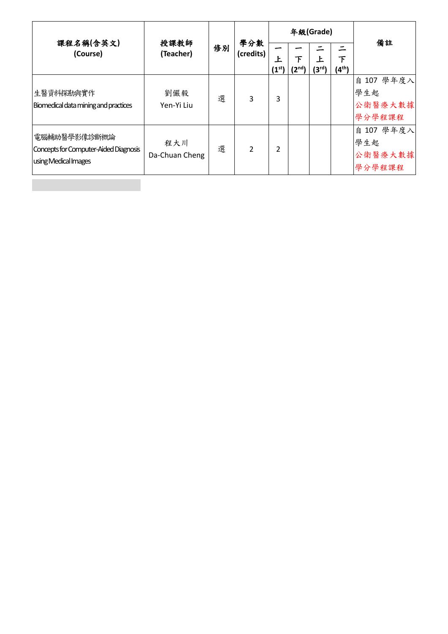| 課程名稱(含英文)<br>(Course)                                                         | 授課教師<br>(Teacher)     | 修別 | 學分數<br>(credits) |                     |                | 年級(Grade)               | 備註                      |                                        |
|-------------------------------------------------------------------------------|-----------------------|----|------------------|---------------------|----------------|-------------------------|-------------------------|----------------------------------------|
|                                                                               |                       |    |                  | Ł<br>$(1^{\rm st})$ | 下<br>$(2^{nd}$ | 上<br>(3 <sup>rd</sup> ) | 下<br>(4 <sup>th</sup> ) |                                        |
| 生醫資料探勘與實作<br>Biomedical data mining and practices                             | 劉儼毅<br>Yen-Yi Liu     | 選  | 3                | 3                   |                |                         |                         | 自 107 學年度入<br>學生起<br>公衛醫療大數據<br>學分學程課程 |
| 電腦輔助醫學影像診斷概論<br>Concepts for Computer-Aided Diagnosis<br>using Medical Images | 程大川<br>Da-Chuan Cheng | 選  | $\overline{2}$   | 2                   |                |                         |                         | 自 107 學年度入<br>學生起<br>公衛醫療大數據<br>學分學程課程 |
|                                                                               |                       |    |                  |                     |                |                         |                         |                                        |